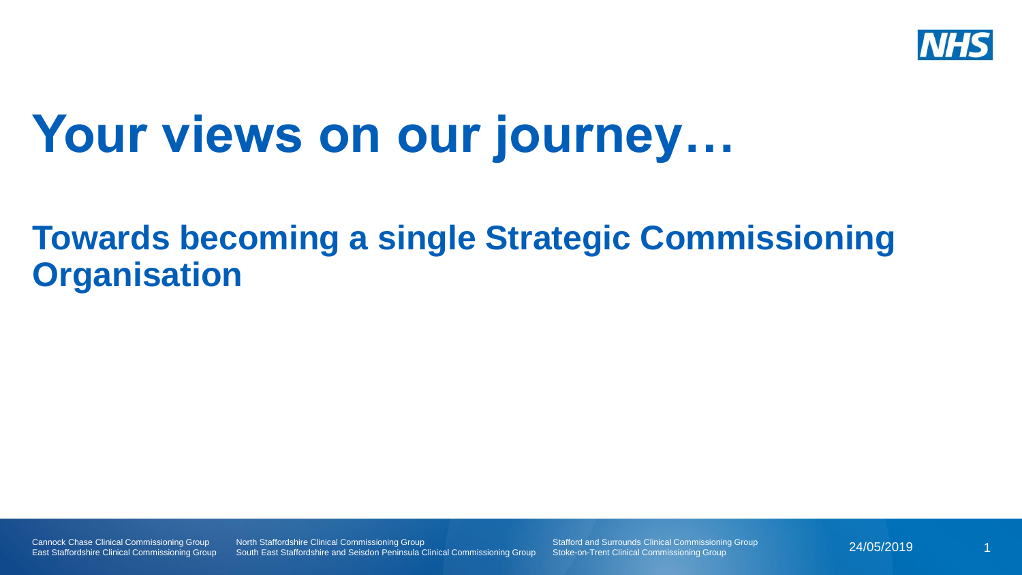

## **Your views on our journey…**

### **Towards becoming a single Strategic Commissioning Organisation**

Cannock Chase Clinical Commissioning Group East Staffordshire Clinical Commissioning Group North Staffordshire Clinical Commissioning Group South East Staffordshire and Seisdon Peninsula Clinical Commissioning Group Stafford and Surrounds Clinical Commissioning Group Stoke-on-Trent Clinical Commissioning Group

24/05/2019 1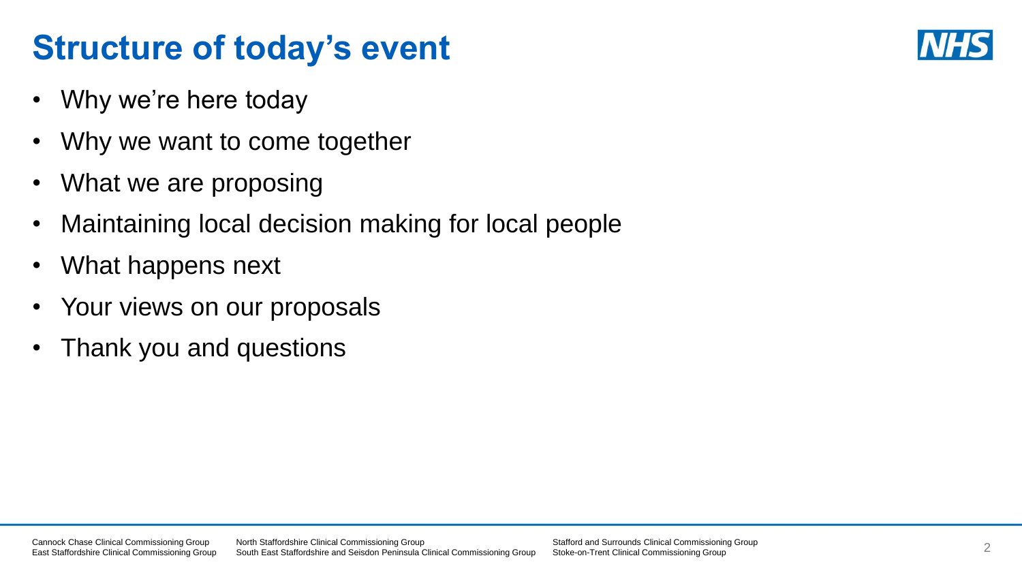## **Structure of today's event**

- Why we're here today
- Why we want to come together
- What we are proposing
- Maintaining local decision making for local people
- What happens next
- Your views on our proposals
- Thank you and questions

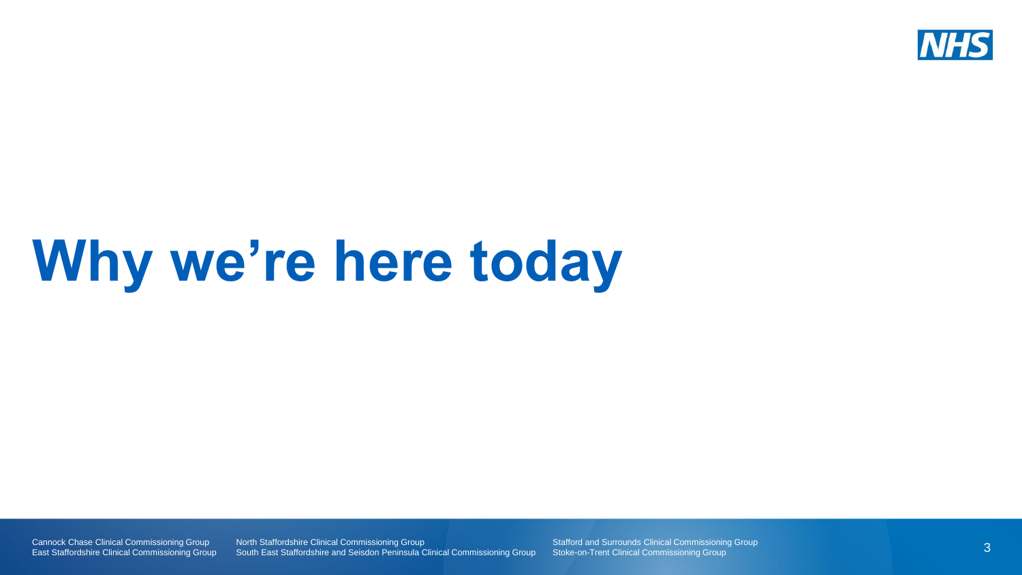

# **Why we're here today**

Cannock Chase Clinical Commissioning Group East Staffordshire Clinical Commissioning Group **North Staffordshire Clinical Commissioning Group** South East Staffordshire and Seisdon Peninsula Clinical Commissioning Group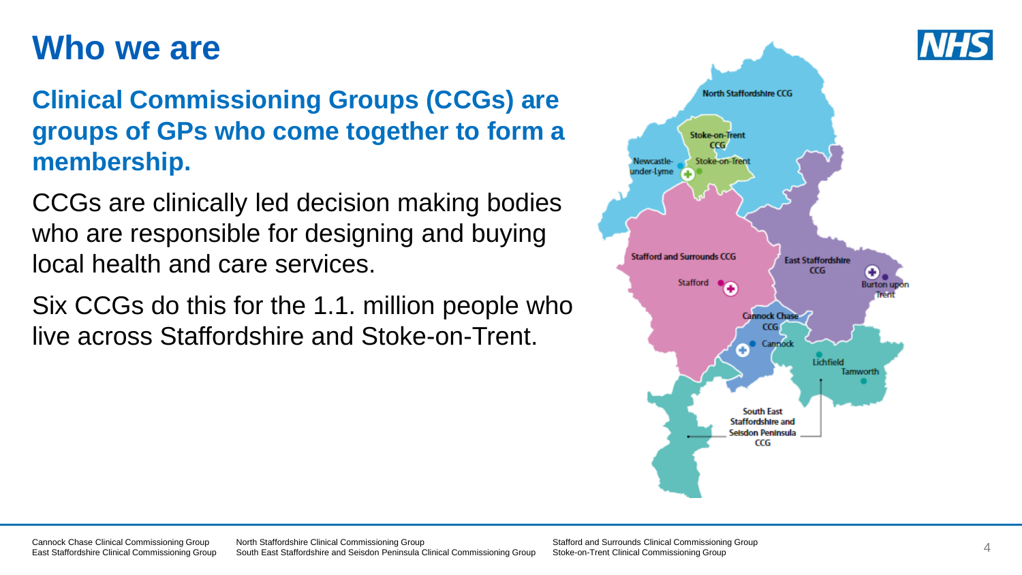### **Who we are**

### **Clinical Commissioning Groups (CCGs) are groups of GPs who come together to form a membership.**

CCGs are clinically led decision making bodies who are responsible for designing and buying local health and care services.

Six CCGs do this for the 1.1. million people who live across Staffordshire and Stoke-on-Trent.



Cannock Chase Clinical Commissioning Group East Staffordshire Clinical Commissioning Group North Staffordshire Clinical Commissioning Group South East Staffordshire and Seisdon Peninsula Clinical Commissioning Group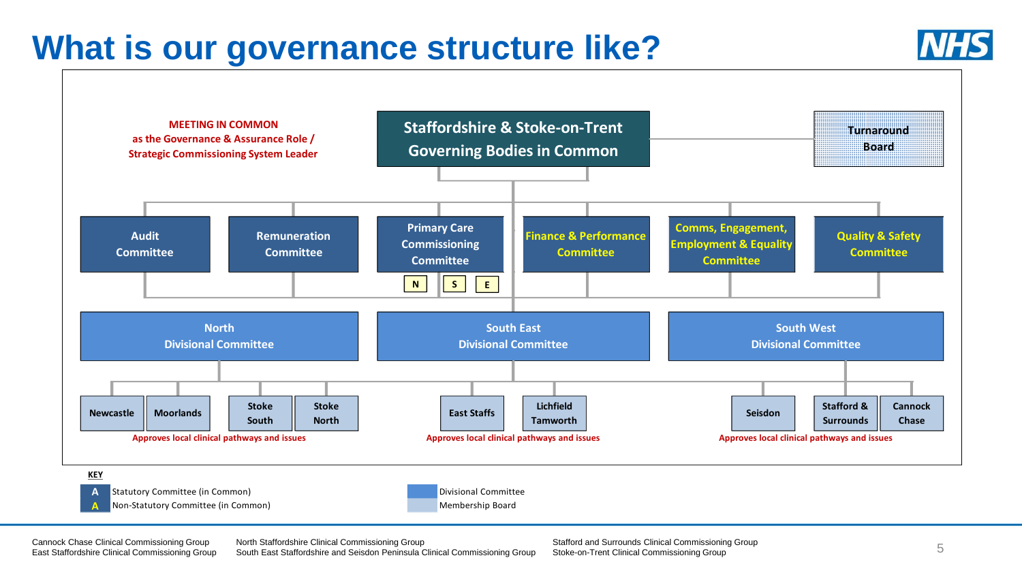### **What is our governance structure like?**





**A** Non-Statutory Committee (in Common) Membership Board

Cannock Chase Clinical Commissioning Group East Staffordshire Clinical Commissioning Group North Staffordshire Clinical Commissioning Group South East Staffordshire and Seisdon Peninsula Clinical Commissioning Group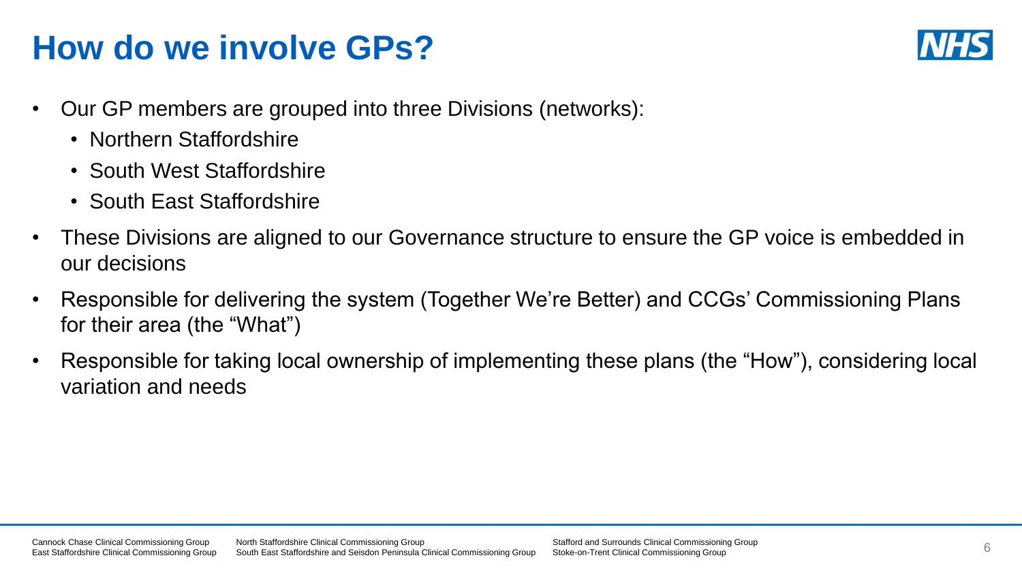## **How do we involve GPs?**



- Our GP members are grouped into three Divisions (networks):
	- Northern Staffordshire
	- South West Staffordshire
	- South Fast Staffordshire
- These Divisions are aligned to our Governance structure to ensure the GP voice is embedded in our decisions
- Responsible for delivering the system (Together We're Better) and CCGs' Commissioning Plans for their area (the "What")
- Responsible for taking local ownership of implementing these plans (the "How"), considering local variation and needs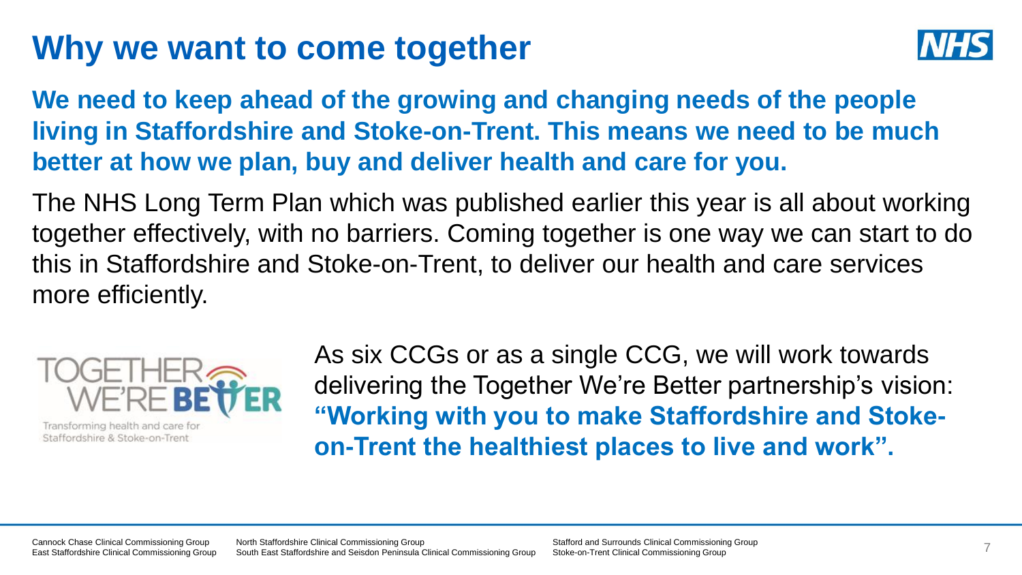### **Why we want to come together**



**We need to keep ahead of the growing and changing needs of the people living in Staffordshire and Stoke-on-Trent. This means we need to be much better at how we plan, buy and deliver health and care for you.** 

The NHS Long Term Plan which was published earlier this year is all about working together effectively, with no barriers. Coming together is one way we can start to do this in Staffordshire and Stoke-on-Trent, to deliver our health and care services more efficiently.



Transforming health and care for Staffordshire & Stoke-on-Trent

As six CCGs or as a single CCG, we will work towards delivering the Together We're Better partnership's vision: **"Working with you to make Staffordshire and Stokeon-Trent the healthiest places to live and work".**

Cannock Chase Clinical Commissioning Group East Staffordshire Clinical Commissioning Group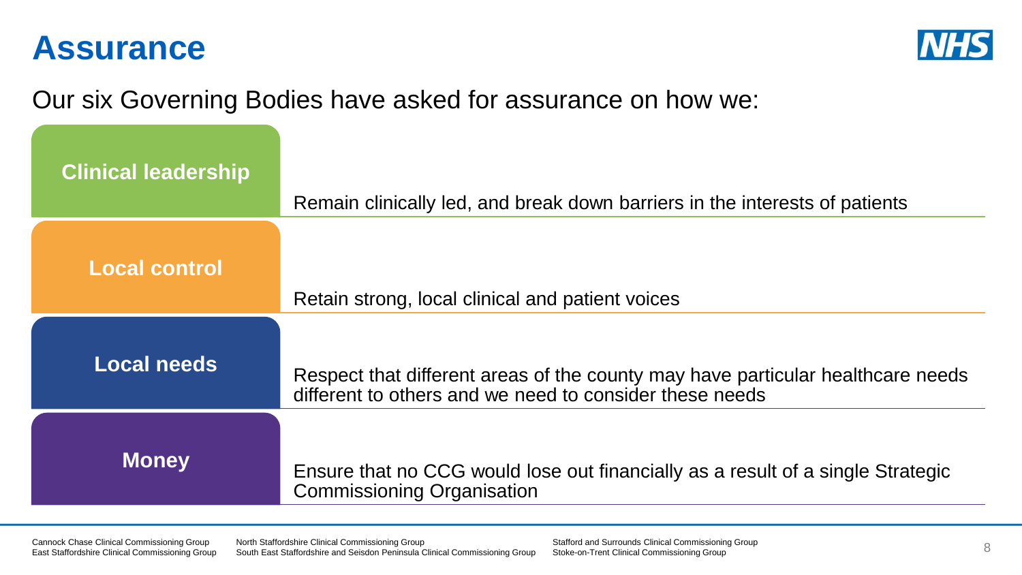### **Assurance**



### Our six Governing Bodies have asked for assurance on how we:

| <b>Clinical leadership</b> | Remain clinically led, and break down barriers in the interests of patients                                                                |
|----------------------------|--------------------------------------------------------------------------------------------------------------------------------------------|
| <b>Local control</b>       | Retain strong, local clinical and patient voices                                                                                           |
| Local needs                | Respect that different areas of the county may have particular healthcare needs<br>different to others and we need to consider these needs |
| <b>Money</b>               | Ensure that no CCG would lose out financially as a result of a single Strategic<br><b>Commissioning Organisation</b>                       |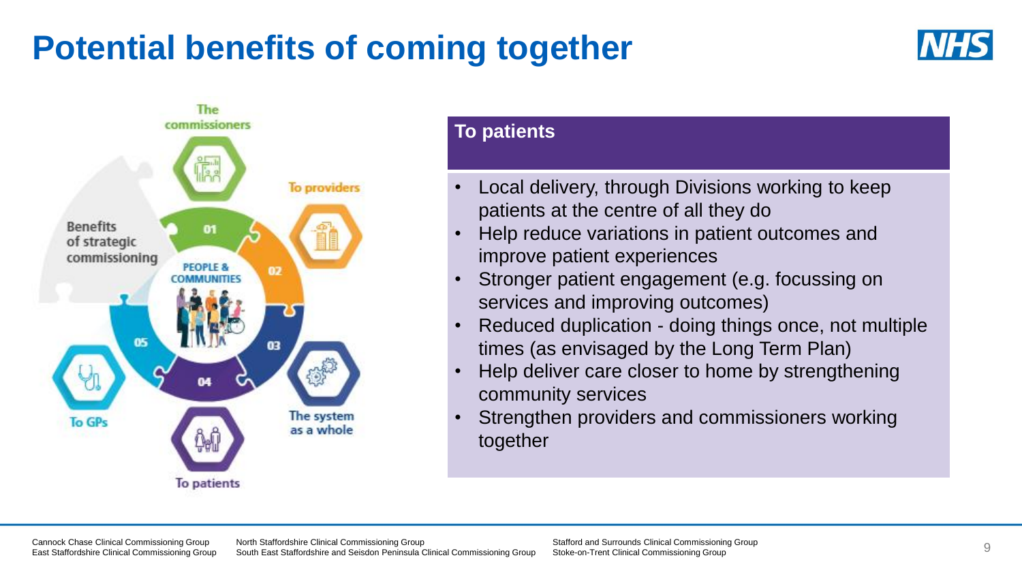## **Potential benefits of coming together**





### **To patients**

- Local delivery, through Divisions working to keep patients at the centre of all they do
- Help reduce variations in patient outcomes and improve patient experiences
- Stronger patient engagement (e.g. focussing on services and improving outcomes)
- Reduced duplication doing things once, not multiple times (as envisaged by the Long Term Plan)
- Help deliver care closer to home by strengthening community services
- Strengthen providers and commissioners working together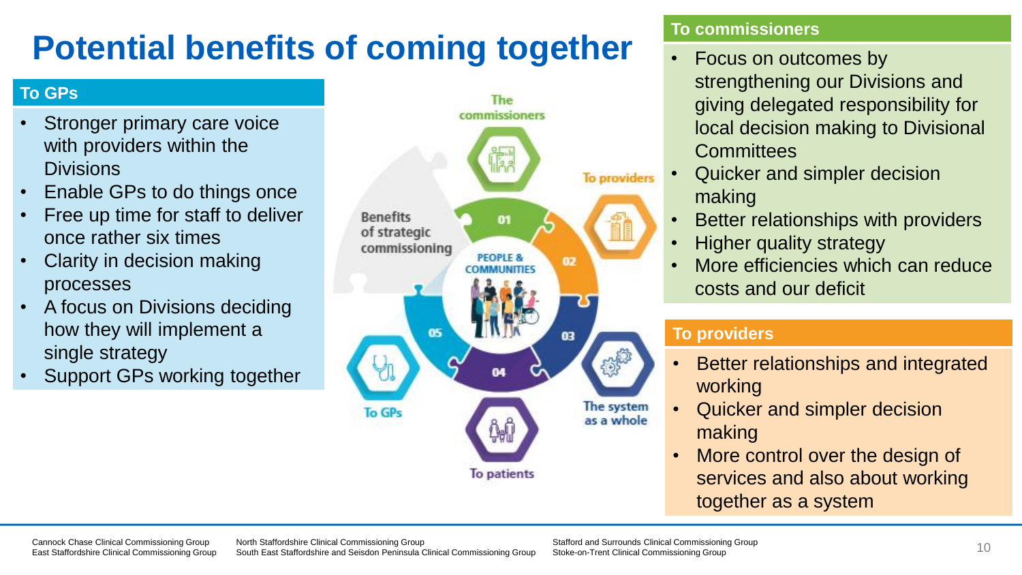## **Potential benefits of coming together**

#### **To GPs**

- Stronger primary care voice with providers within the **Divisions**
- Enable GPs to do things once
- Free up time for staff to deliver once rather six times
- Clarity in decision making processes
- A focus on Divisions deciding how they will implement a single strategy
- Support GPs working together



#### **To commissioners**

- Focus on outcomes by strengthening our Divisions and giving delegated responsibility for local decision making to Divisional **Committees**
- Quicker and simpler decision making
- Better relationships with providers
- Higher quality strategy
- More efficiencies which can reduce costs and our deficit

#### **To providers**

- Better relationships and integrated working
- Quicker and simpler decision making
- More control over the design of services and also about working together as a system

North Staffordshire Clinical Commissioning Group South East Staffordshire and Seisdon Peninsula Clinical Commissioning Group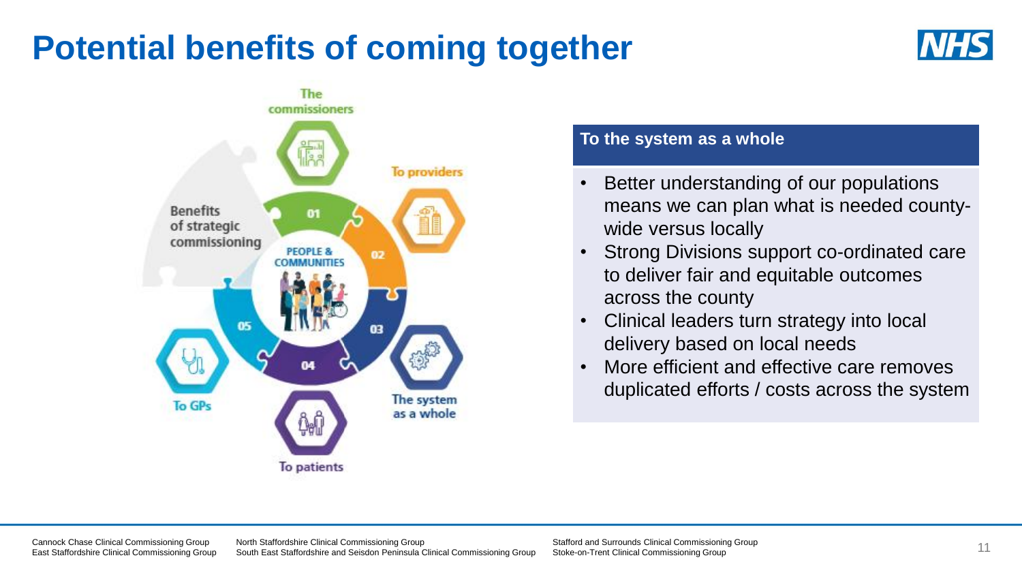### **Potential benefits of coming together**





#### **To the system as a whole**

- Better understanding of our populations means we can plan what is needed countywide versus locally
- Strong Divisions support co-ordinated care to deliver fair and equitable outcomes across the county
- Clinical leaders turn strategy into local delivery based on local needs
- More efficient and effective care removes duplicated efforts / costs across the system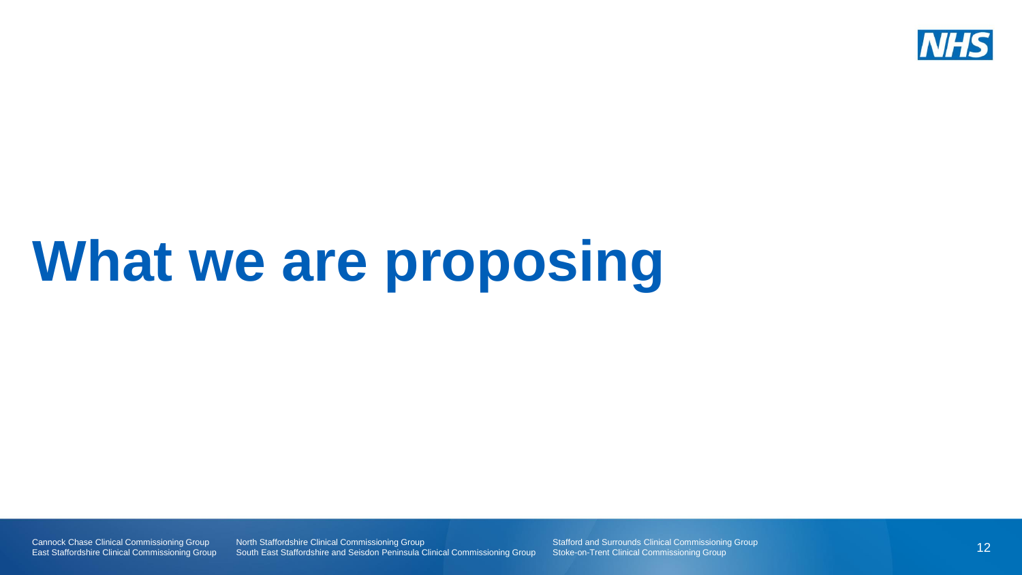

# **What we are proposing**

Cannock Chase Clinical Commissioning Group East Staffordshire Clinical Commissioning Group **North Staffordshire Clinical Commissioning Group** South East Staffordshire and Seisdon Peninsula Clinical Commissioning Group Stafford and Surrounds Clinical Commissioning Group Stoke-on-Trent Clinical Commissioning Group

12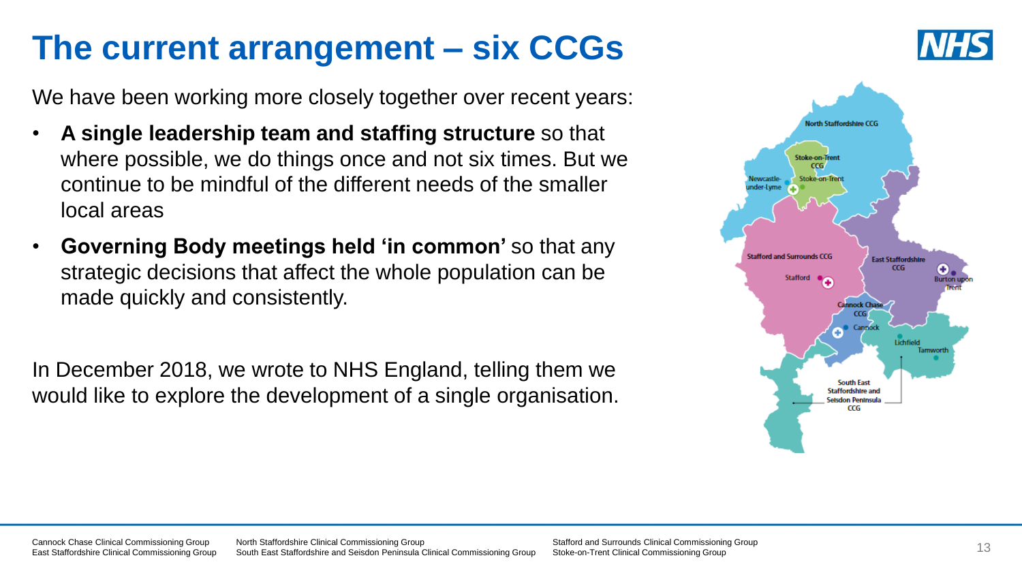## **The current arrangement – six CCGs**

We have been working more closely together over recent years:

- **A single leadership team and staffing structure** so that where possible, we do things once and not six times. But we continue to be mindful of the different needs of the smaller local areas
- **Governing Body meetings held 'in common'** so that any strategic decisions that affect the whole population can be made quickly and consistently.

In December 2018, we wrote to NHS England, telling them we would like to explore the development of a single organisation.



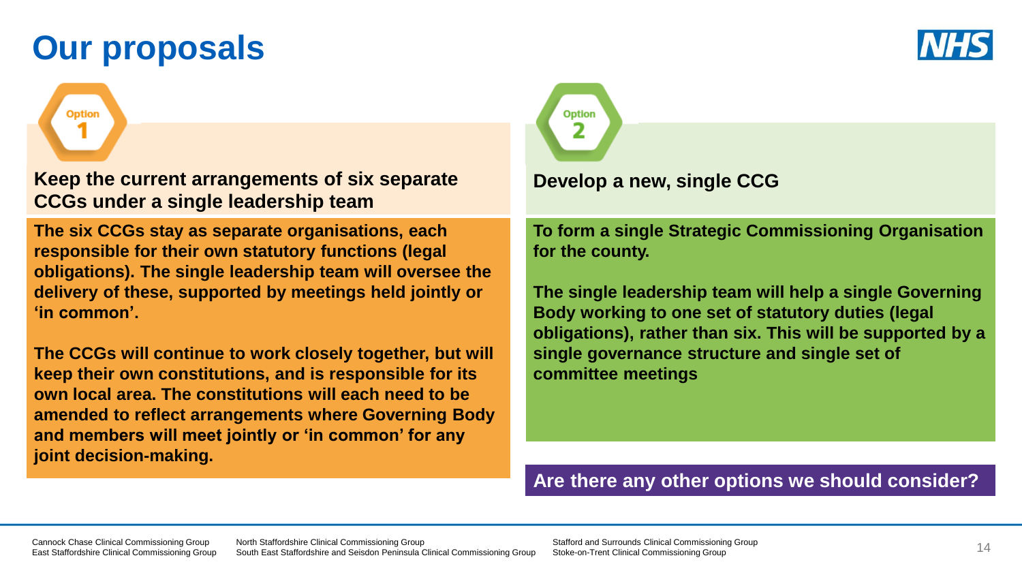## **Our proposals**

**Option** 



**Keep the current arrangements of six separate CCGs under a single leadership team**

**The six CCGs stay as separate organisations, each responsible for their own statutory functions (legal obligations). The single leadership team will oversee the delivery of these, supported by meetings held jointly or 'in common'.** 

**The CCGs will continue to work closely together, but will keep their own constitutions, and is responsible for its own local area. The constitutions will each need to be amended to reflect arrangements where Governing Body and members will meet jointly or 'in common' for any joint decision-making.**



#### **Develop a new, single CCG**

**To form a single Strategic Commissioning Organisation for the county.** 

**The single leadership team will help a single Governing Body working to one set of statutory duties (legal obligations), rather than six. This will be supported by a single governance structure and single set of committee meetings**

#### **Are there any other options we should consider?**

Cannock Chase Clinical Commissioning Group East Staffordshire Clinical Commissioning Group North Staffordshire Clinical Commissioning Group South East Staffordshire and Seisdon Peninsula Clinical Commissioning Group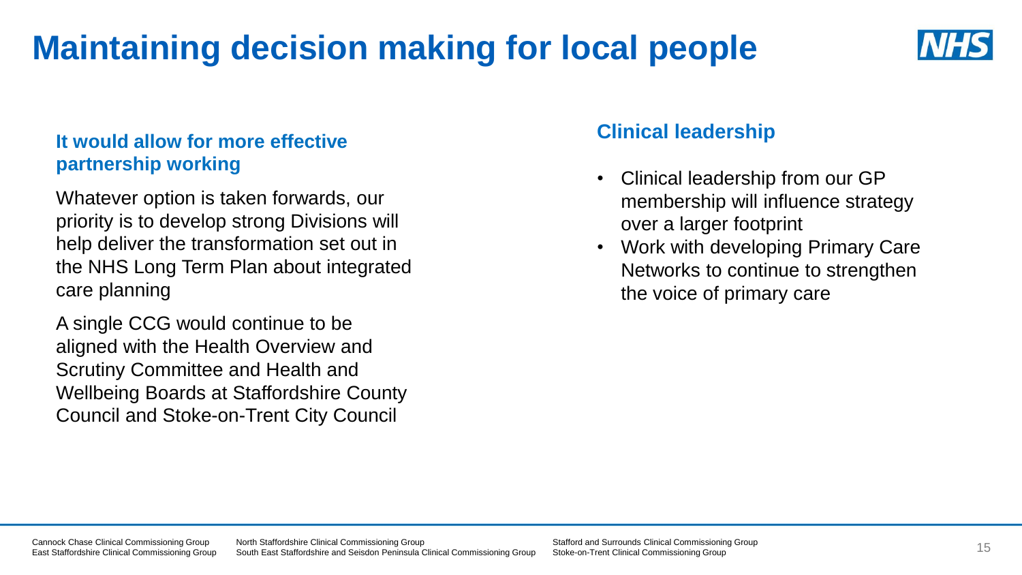## **Maintaining decision making for local people**



### **It would allow for more effective partnership working**

Whatever option is taken forwards, our priority is to develop strong Divisions will help deliver the transformation set out in the NHS Long Term Plan about integrated care planning

A single CCG would continue to be aligned with the Health Overview and Scrutiny Committee and Health and Wellbeing Boards at Staffordshire County Council and Stoke-on-Trent City Council

### **Clinical leadership**

- Clinical leadership from our GP membership will influence strategy over a larger footprint
- Work with developing Primary Care Networks to continue to strengthen the voice of primary care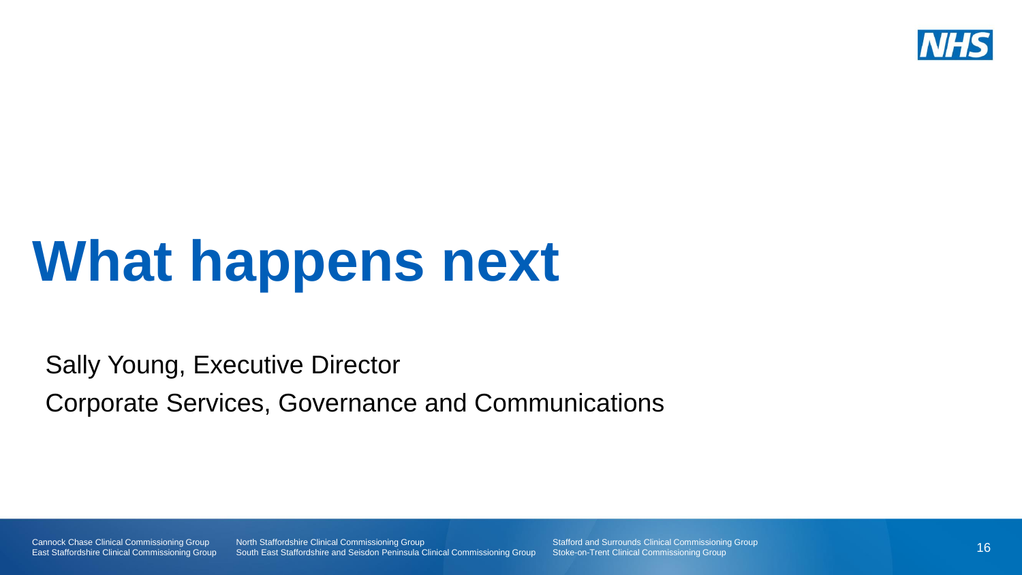

# **What happens next**

Sally Young, Executive Director

Corporate Services, Governance and Communications

Cannock Chase Clinical Commissioning Group East Staffordshire Clinical Commissioning Group North Staffordshire Clinical Commissioning Group South East Staffordshire and Seisdon Peninsula Clinical Commissioning Group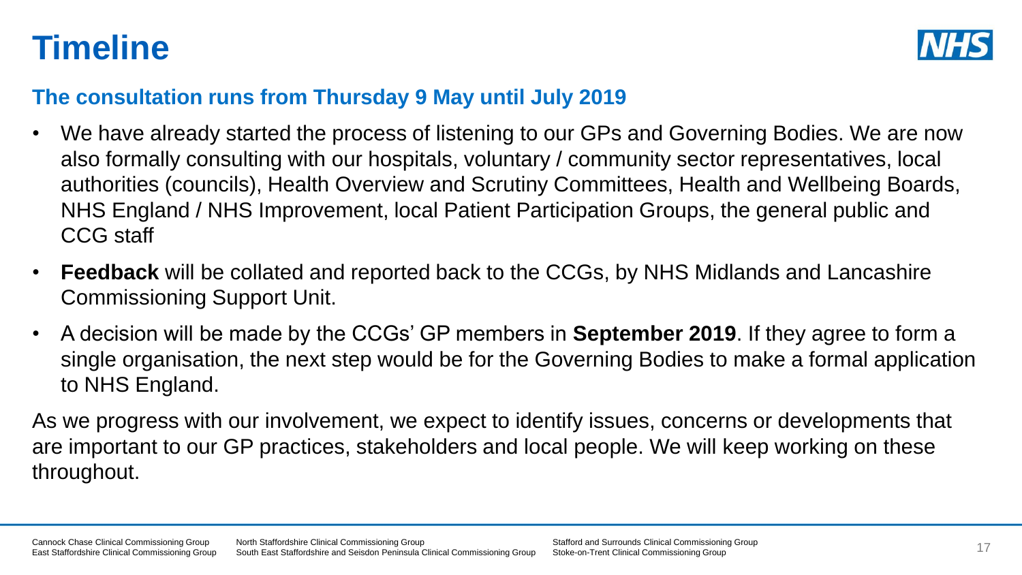## **Timeline**



### **The consultation runs from Thursday 9 May until July 2019**

- We have already started the process of listening to our GPs and Governing Bodies. We are now also formally consulting with our hospitals, voluntary / community sector representatives, local authorities (councils), Health Overview and Scrutiny Committees, Health and Wellbeing Boards, NHS England / NHS Improvement, local Patient Participation Groups, the general public and CCG staff
- **Feedback** will be collated and reported back to the CCGs, by NHS Midlands and Lancashire Commissioning Support Unit.
- A decision will be made by the CCGs' GP members in **September 2019**. If they agree to form a single organisation, the next step would be for the Governing Bodies to make a formal application to NHS England.

As we progress with our involvement, we expect to identify issues, concerns or developments that are important to our GP practices, stakeholders and local people. We will keep working on these throughout.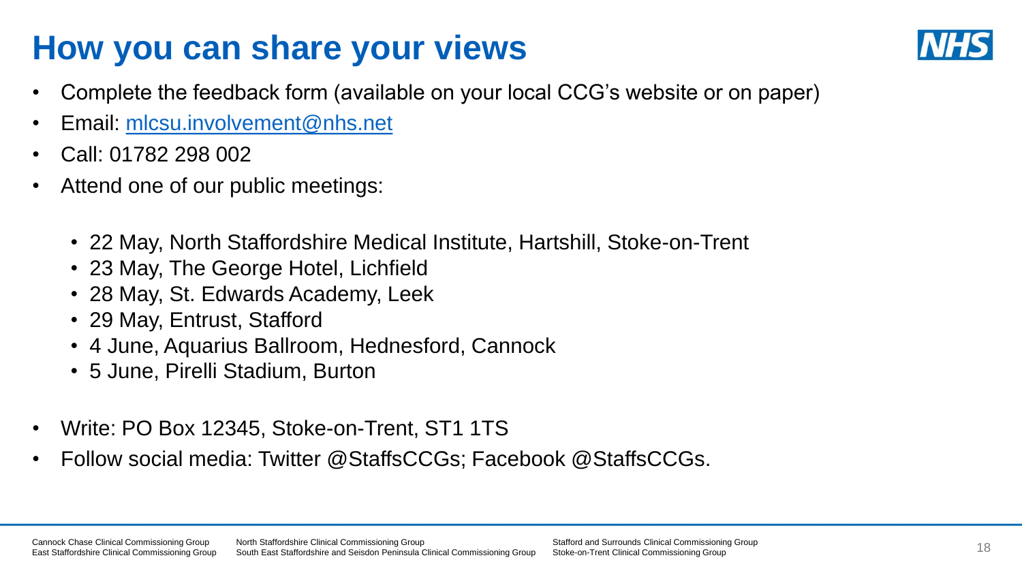## **How you can share your views**



- Complete the feedback form (available on your local CCG's website or on paper)
- Email: [mlcsu.involvement@nhs.net](mailto:mlcsu.involvement@nhs.net)
- Call: 01782 298 002
- Attend one of our public meetings:
	- 22 May, North Staffordshire Medical Institute, Hartshill, Stoke-on-Trent
	- 23 May, The George Hotel, Lichfield
	- 28 May, St. Edwards Academy, Leek
	- 29 May, Entrust, Stafford
	- 4 June, Aquarius Ballroom, Hednesford, Cannock
	- 5 June, Pirelli Stadium, Burton
- Write: PO Box 12345, Stoke-on-Trent, ST1 1TS
- Follow social media: Twitter @StaffsCCGs; Facebook @StaffsCCGs.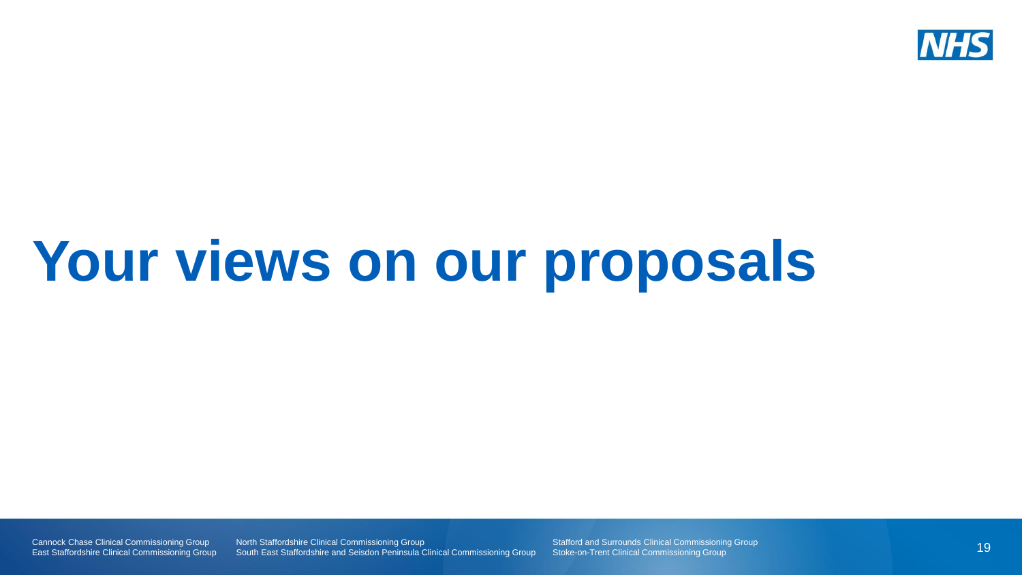

# **Your views on our proposals**

Cannock Chase Clinical Commissioning Group East Staffordshire Clinical Commissioning Group

North Staffordshire Clinical Commissioning Group South East Staffordshire and Seisdon Peninsula Clinical Commissioning Group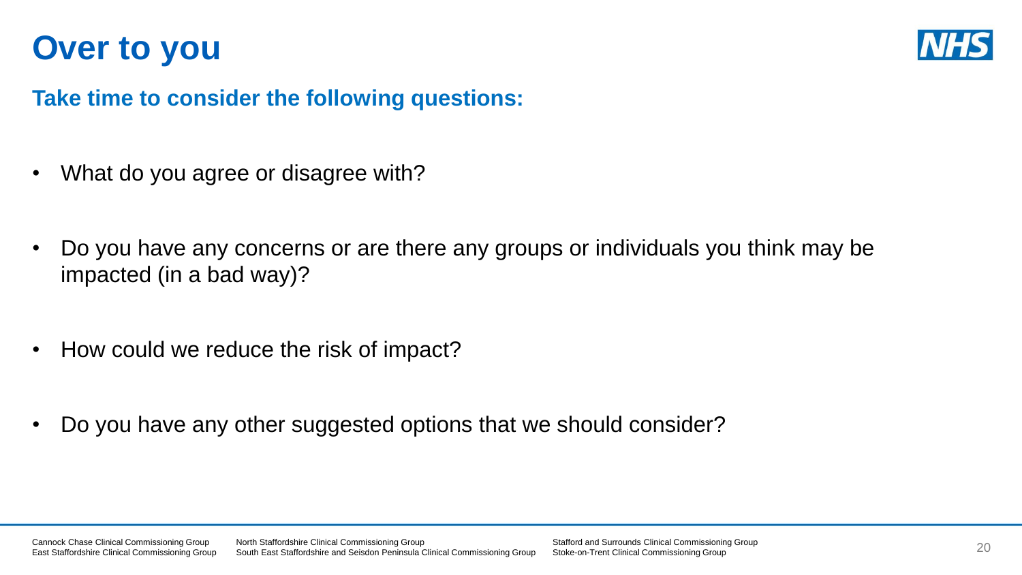### **Over to you**



### **Take time to consider the following questions:**

- What do you agree or disagree with?
- Do you have any concerns or are there any groups or individuals you think may be impacted (in a bad way)?
- How could we reduce the risk of impact?
- Do you have any other suggested options that we should consider?